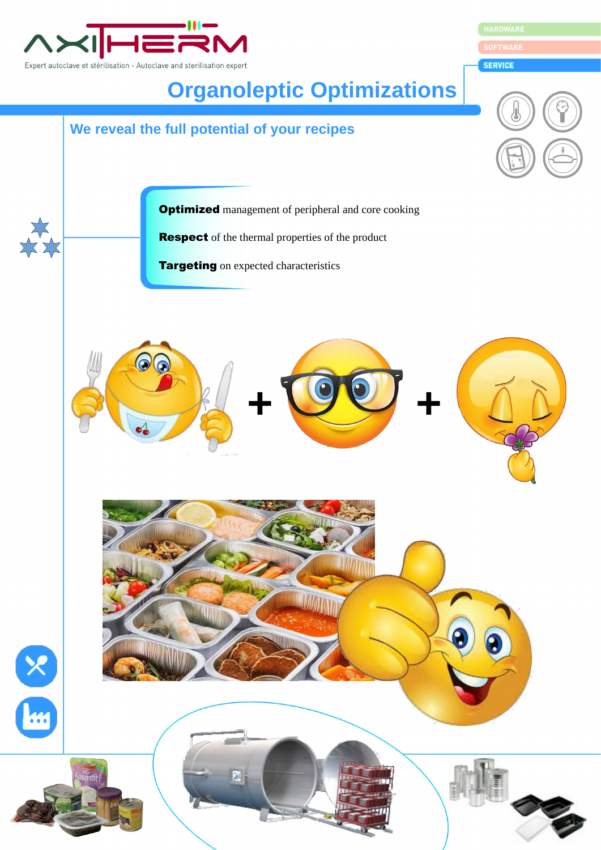

HARDWARE

**SERVICE**